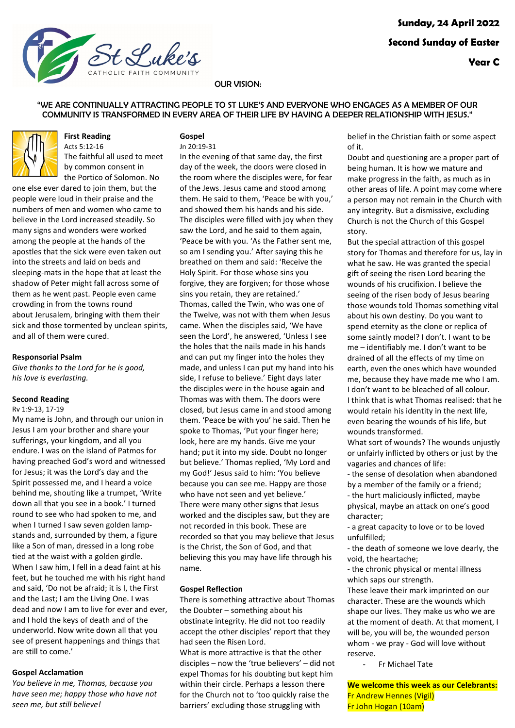

The faithful all used to meet by common consent in

### OUR VISION:

### "WE ARE CONTINUALLY ATTRACTING PEOPLE TO ST LUKE'S AND EVERYONE WHO ENGAGES AS A MEMBER OF OUR COMMUNITY IS TRANSFORMED IN EVERY AREA OF THEIR LIFE BY HAVING A DEEPER RELATIONSHIP WITH JESUS."

#### **Gospel** [Jn 20:19-31](https://www.liturgyhelp.com/ritual/lectionary/LectionaryList%7Cjhn#jhn020)

the Portico of Solomon. No one else ever dared to join them, but the people were loud in their praise and the numbers of men and women who came to believe in the Lord increased steadily. So many signs and wonders were worked among the people at the hands of the apostles that the sick were even taken out into the streets and laid on beds and sleeping-mats in the hope that at least the shadow of Peter might fall across some of them as he went past. People even came crowding in from the towns round about Jerusalem, bringing with them their sick and those tormented by unclean spirits, and all of them were cured.

**First Reading** [Acts 5:12-16](https://www.liturgyhelp.com/ritual/lectionary/LectionaryList%7Cact#act005)

#### **Responsorial Psalm**

*Give thanks to the Lord for he is good, his love is everlasting.*

# **Second Reading**

[Rv 1:9-13, 17-19](https://www.liturgyhelp.com/ritual/lectionary/LectionaryList%7Crev#rev001)

My name is John, and through our union in Jesus I am your brother and share your sufferings, your kingdom, and all you endure. I was on the island of Patmos for having preached God's word and witnessed for Jesus; it was the Lord's day and the Spirit possessed me, and I heard a voice behind me, shouting like a trumpet, 'Write down all that you see in a book.' I turned round to see who had spoken to me, and when I turned I saw seven golden lampstands and, surrounded by them, a figure like a Son of man, dressed in a long robe tied at the waist with a golden girdle. When I saw him, I fell in a dead faint at his feet, but he touched me with his right hand and said, 'Do not be afraid; it is I, the First and the Last; I am the Living One. I was dead and now I am to live for ever and ever, and I hold the keys of death and of the underworld. Now write down all that you see of present happenings and things that are still to come.'

### **Gospel Acclamation**

*You believe in me, Thomas, because you have seen me; happy those who have not seen me, but still believe!*

In the evening of that same day, the first day of the week, the doors were closed in the room where the disciples were, for fear of the Jews. Jesus came and stood among them. He said to them, 'Peace be with you,' and showed them his hands and his side. The disciples were filled with joy when they saw the Lord, and he said to them again, 'Peace be with you. 'As the Father sent me, so am I sending you.' After saying this he breathed on them and said: 'Receive the Holy Spirit. For those whose sins you forgive, they are forgiven; for those whose sins you retain, they are retained.' Thomas, called the Twin, who was one of the Twelve, was not with them when Jesus came. When the disciples said, 'We have seen the Lord', he answered, 'Unless I see the holes that the nails made in his hands and can put my finger into the holes they made, and unless I can put my hand into his side, I refuse to believe.' Eight days later the disciples were in the house again and Thomas was with them. The doors were closed, but Jesus came in and stood among them. 'Peace be with you' he said. Then he spoke to Thomas, 'Put your finger here; look, here are my hands. Give me your hand; put it into my side. Doubt no longer but believe.' Thomas replied, 'My Lord and my God!' Jesus said to him: 'You believe because you can see me. Happy are those who have not seen and yet believe.' There were many other signs that Jesus worked and the disciples saw, but they are not recorded in this book. These are recorded so that you may believe that Jesus is the Christ, the Son of God, and that believing this you may have life through his name.

### **Gospel Reflection**

There is something attractive about Thomas the Doubter – something about his obstinate integrity. He did not too readily accept the other disciples' report that they had seen the Risen Lord. What is more attractive is that the other disciples – now the 'true believers' – did not expel Thomas for his doubting but kept him within their circle. Perhaps a lesson there

for the Church not to 'too quickly raise the barriers' excluding those struggling with

belief in the Christian faith or some aspect of it.

Doubt and questioning are a proper part of being human. It is how we mature and make progress in the faith, as much as in other areas of life. A point may come where a person may not remain in the Church with any integrity. But a dismissive, excluding Church is not the Church of this Gospel story.

But the special attraction of this gospel story for Thomas and therefore for us, lay in what he saw. He was granted the special gift of seeing the risen Lord bearing the wounds of his crucifixion. I believe the seeing of the risen body of Jesus bearing those wounds told Thomas something vital about his own destiny. Do you want to spend eternity as the clone or replica of some saintly model? I don't. I want to be me – identifiably me. I don't want to be drained of all the effects of my time on earth, even the ones which have wounded me, because they have made me who I am. I don't want to be bleached of all colour. I think that is what Thomas realised: that he would retain his identity in the next life, even bearing the wounds of his life, but wounds transformed.

What sort of wounds? The wounds unjustly or unfairly inflicted by others or just by the vagaries and chances of life:

- the sense of desolation when abandoned by a member of the family or a friend; - the hurt maliciously inflicted, maybe

physical, maybe an attack on one's good character;

- a great capacity to love or to be loved unfulfilled;

- the death of someone we love dearly, the void, the heartache;

- the chronic physical or mental illness which saps our strength.

These leave their mark imprinted on our character. These are the wounds which shape our lives. They make us who we are at the moment of death. At that moment, I will be, you will be, the wounded person whom - we pray - God will love without reserve.

- Fr Michael Tate

**We welcome this week as our Celebrants:** Fr Andrew Hennes (Vigil) Fr John Hogan (10am)